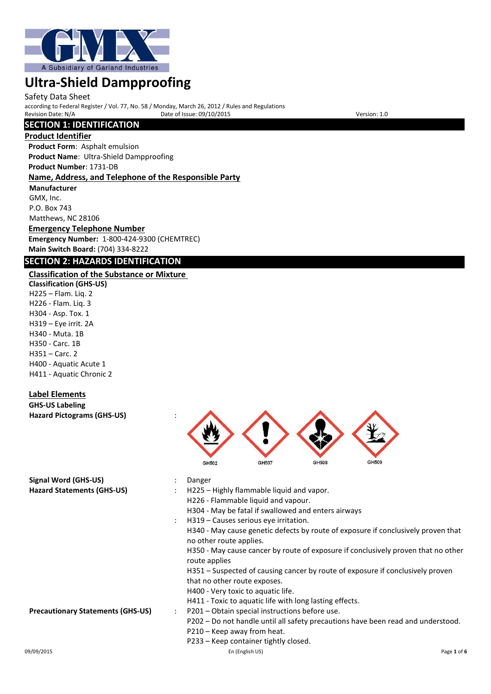

Safety Data Sheet

according to Federal Register / Vol. 77, No. 58 / Monday, March 26, 2012 / Rules and Regulations Provide of Issue: 09/10/2015

## **SECTION 1: IDENTIFICATION**

#### **Product Identifier**

**Product Form**: Asphalt emulsion **Product Name**: Ultra-Shield Dampproofing  **Product Number**: 1731-DB

#### **Name, Address, and Telephone of the Responsible Party**

**Manufacturer** GMX, Inc. P.O. Box 743 Matthews, NC 28106

## **Emergency Telephone Number**

**Emergency Number:** 1-800-424-9300 (CHEMTREC) **Main Switch Board:** (704) 334-8222

## **SECTION 2: HAZARDS IDENTIFICATION**

## **Classification of the Substance or Mixture**

**Classification (GHS-US)** H225 – Flam. Liq. 2 H226 - Flam. Liq. 3 H304 - Asp. Tox. 1 H319 – Eye irrit. 2A H340 - Muta. 1B H350 - Carc. 1B H351 – Carc. 2 H400 - Aquatic Acute 1 H411 - Aquatic Chronic 2

### **Label Elements**

#### **GHS-US Labeling Hazard Pictograms (GHS-US)** :

|                                          |                      | GH502                                                                                                                                   | GH507                                          | GH508                                                   | GH509                                                                             |  |  |  |
|------------------------------------------|----------------------|-----------------------------------------------------------------------------------------------------------------------------------------|------------------------------------------------|---------------------------------------------------------|-----------------------------------------------------------------------------------|--|--|--|
| Signal Word (GHS-US)                     |                      | Danger                                                                                                                                  |                                                |                                                         |                                                                                   |  |  |  |
| <b>Hazard Statements (GHS-US)</b>        |                      | H225 - Highly flammable liquid and vapor.<br>H226 - Flammable liquid and vapour.<br>H304 - May be fatal if swallowed and enters airways |                                                |                                                         |                                                                                   |  |  |  |
|                                          |                      |                                                                                                                                         | H319 – Causes serious eye irritation.          |                                                         |                                                                                   |  |  |  |
|                                          |                      | no other route applies.                                                                                                                 |                                                |                                                         | H340 - May cause genetic defects by route of exposure if conclusively proven that |  |  |  |
|                                          |                      | route applies                                                                                                                           |                                                |                                                         | H350 - May cause cancer by route of exposure if conclusively proven that no other |  |  |  |
|                                          |                      |                                                                                                                                         |                                                |                                                         | H351 – Suspected of causing cancer by route of exposure if conclusively proven    |  |  |  |
|                                          |                      | that no other route exposes.                                                                                                            |                                                |                                                         |                                                                                   |  |  |  |
|                                          |                      |                                                                                                                                         | H400 - Very toxic to aquatic life.             |                                                         |                                                                                   |  |  |  |
|                                          |                      |                                                                                                                                         |                                                | H411 - Toxic to aquatic life with long lasting effects. |                                                                                   |  |  |  |
| <b>Precautionary Statements (GHS-US)</b> | $\ddot{\phantom{0}}$ |                                                                                                                                         | P201 – Obtain special instructions before use. |                                                         |                                                                                   |  |  |  |
|                                          |                      |                                                                                                                                         |                                                |                                                         | P202 – Do not handle until all safety precautions have been read and understood.  |  |  |  |
|                                          |                      |                                                                                                                                         | P210 - Keep away from heat.                    |                                                         |                                                                                   |  |  |  |
|                                          |                      |                                                                                                                                         | P233 – Keep container tightly closed.          |                                                         |                                                                                   |  |  |  |
|                                          |                      |                                                                                                                                         |                                                |                                                         |                                                                                   |  |  |  |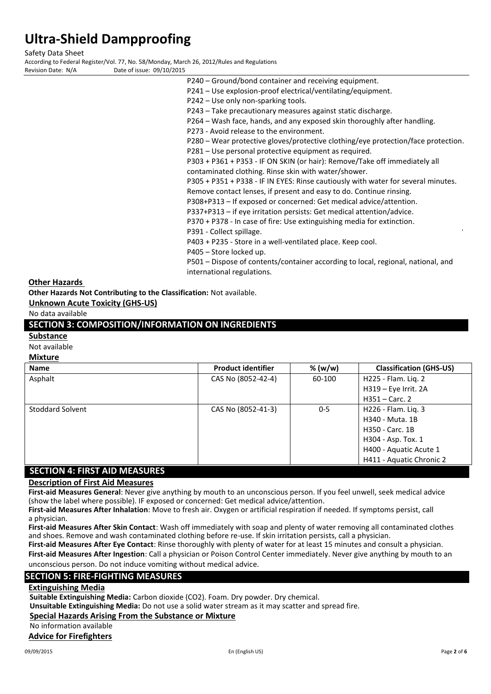Safety Data Sheet

According to Federal Register/Vol. 77, No. 58/Monday, March 26, 2012/Rules and Regulations Date of issue: 09/10/2015

P240 – Ground/bond container and receiving equipment. P241 – Use explosion-proof electrical/ventilating/equipment. P242 – Use only non-sparking tools. P243 – Take precautionary measures against static discharge. P264 – Wash face, hands, and any exposed skin thoroughly after handling. P273 - Avoid release to the environment. P280 – Wear protective gloves/protective clothing/eye protection/face protection. P281 – Use personal protective equipment as required. P303 + P361 + P353 - IF ON SKIN (or hair): Remove/Take off immediately all contaminated clothing. Rinse skin with water/shower. P305 + P351 + P338 - IF IN EYES: Rinse cautiously with water for several minutes. Remove contact lenses, if present and easy to do. Continue rinsing. P308+P313 – If exposed or concerned: Get medical advice/attention. P337+P313 – if eye irritation persists: Get medical attention/advice.

P370 + P378 - In case of fire: Use extinguishing media for extinction.

P391 - Collect spillage.

P403 + P235 - Store in a well-ventilated place. Keep cool.

P405 – Store locked up.

P501 – Dispose of contents/container according to local, regional, national, and international regulations.

#### **Other Hazards**

**Other Hazards Not Contributing to the Classification:** Not available.

**Unknown Acute Toxicity (GHS-US)**

No data available

### **SECTION 3: COMPOSITION/INFORMATION ON INGREDIENTS**

#### **Substance**

Not available

## **Mixture**

| <b>Name</b>                     | <b>Product identifier</b> | % (w/w) | <b>Classification (GHS-US)</b> |
|---------------------------------|---------------------------|---------|--------------------------------|
| Asphalt                         | CAS No (8052-42-4)        | 60-100  | H225 - Flam. Liq. 2            |
|                                 |                           |         | $H319 - Eye$ Irrit. 2A         |
|                                 |                           |         | $H351 -$ Carc. 2               |
| <b>Stoddard Solvent</b>         | CAS No (8052-41-3)        | $0 - 5$ | H226 - Flam. Lig. 3            |
|                                 |                           |         | H340 - Muta. 1B                |
|                                 |                           |         | H350 - Carc. 1B                |
|                                 |                           |         | H304 - Asp. Tox. 1             |
|                                 |                           |         | H400 - Aquatic Acute 1         |
|                                 |                           |         | H411 - Aquatic Chronic 2       |
| CECTION A. FIDET AID NAFACLIDEC |                           |         |                                |

## **SECTION 4: FIRST AID MEASURES**

## **Description of First Aid Measures**

**First-aid Measures General**: Never give anything by mouth to an unconscious person. If you feel unwell, seek medical advice (show the label where possible). IF exposed or concerned: Get medical advice/attention.

**First-aid Measures After Inhalation**: Move to fresh air. Oxygen or artificial respiration if needed. If symptoms persist, call a physician.

**First-aid Measures After Skin Contact**: Wash off immediately with soap and plenty of water removing all contaminated clothes and shoes. Remove and wash contaminated clothing before re-use. If skin irritation persists, call a physician.

**First-aid Measures After Eye Contact**: Rinse thoroughly with plenty of water for at least 15 minutes and consult a physician.

**First-aid Measures After Ingestion**: Call a physician or Poison Control Center immediately. Never give anything by mouth to an unconscious person. Do not induce vomiting without medical advice.

#### **SECTION 5: FIRE-FIGHTING MEASURES**

#### **Extinguishing Media**

**Suitable Extinguishing Media:** Carbon dioxide (CO2). Foam. Dry powder. Dry chemical.

**Unsuitable Extinguishing Media:** Do not use a solid water stream as it may scatter and spread fire.

#### **Special Hazards Arising From the Substance or Mixture**

No information available

**Advice for Firefighters**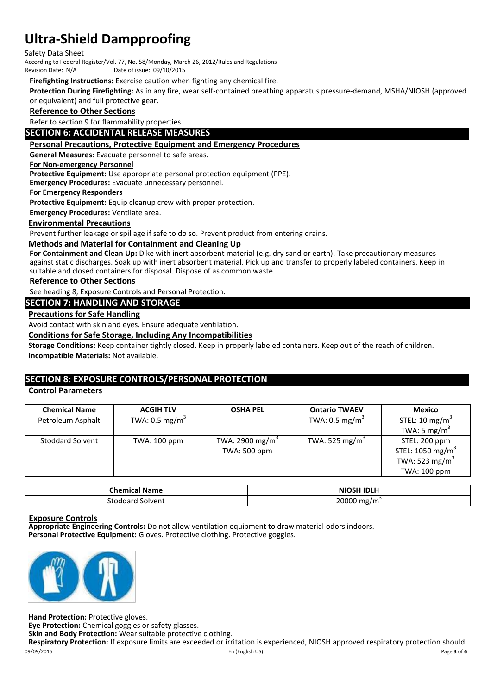Safety Data Sheet

According to Federal Register/Vol. 77, No. 58/Monday, March 26, 2012/Rules and Regulations

Date of issue: 09/10/2015

**Firefighting Instructions:** Exercise caution when fighting any chemical fire.

**Protection During Firefighting:** As in any fire, wear self-contained breathing apparatus pressure-demand, MSHA/NIOSH (approved or equivalent) and full protective gear.

#### **Reference to Other Sections**

Refer to section 9 for flammability properties.

#### **SECTION 6: ACCIDENTAL RELEASE MEASURES**

#### **Personal Precautions, Protective Equipment and Emergency Procedures**

**General Measures**: Evacuate personnel to safe areas.

#### **For Non-emergency Personnel**

**Protective Equipment:** Use appropriate personal protection equipment (PPE).

**Emergency Procedures:** Evacuate unnecessary personnel.

**For Emergency Responders**

**Protective Equipment:** Equip cleanup crew with proper protection.

**Emergency Procedures:** Ventilate area.

#### **Environmental Precautions**

Prevent further leakage or spillage if safe to do so. Prevent product from entering drains.

#### **Methods and Material for Containment and Cleaning Up**

**For Containment and Clean Up:** Dike with inert absorbent material (e.g. dry sand or earth). Take precautionary measures against static discharges. Soak up with inert absorbent material. Pick up and transfer to properly labeled containers. Keep in suitable and closed containers for disposal. Dispose of as common waste.

#### **Reference to Other Sections**

See heading 8, Exposure Controls and Personal Protection.

#### **SECTION 7: HANDLING AND STORAGE**

#### **Precautions for Safe Handling**

Avoid contact with skin and eyes. Ensure adequate ventilation.

#### **Conditions for Safe Storage, Including Any Incompatibilities**

**Storage Conditions:** Keep container tightly closed. Keep in properly labeled containers. Keep out of the reach of children. **Incompatible Materials:** Not available.

### **SECTION 8: EXPOSURE CONTROLS/PERSONAL PROTECTION**

#### **Control Parameters**

| <b>Chemical Name</b>    | <b>ACGIH TLV</b>          | <b>OSHA PEL</b>             | <b>Ontario TWAEV</b>       | Mexico                       |
|-------------------------|---------------------------|-----------------------------|----------------------------|------------------------------|
| Petroleum Asphalt       | TWA: $0.5 \text{ mg/m}^3$ |                             | TWA: $0.5 \text{ mg/m}^3$  | STEL: 10 $mg/m3$             |
|                         |                           |                             |                            | TWA: 5 mg/m <sup>3</sup>     |
| <b>Stoddard Solvent</b> | TWA: 100 ppm              | TWA: 2900 mg/m <sup>3</sup> | TWA: 525 mg/m <sup>3</sup> | STEL: 200 ppm                |
|                         |                           | <b>TWA: 500 ppm</b>         |                            | STEL: 1050 mg/m <sup>3</sup> |
|                         |                           |                             |                            | TWA: 523 mg/m <sup>3</sup>   |
|                         |                           |                             |                            | TWA: 100 ppm                 |

| <b>Chemical Name</b> | <b>NIOSH IDLH</b>       |
|----------------------|-------------------------|
| Solvent              |                         |
| Stoddard             | 20000 mg/m <sup>3</sup> |

#### **Exposure Controls**

**Appropriate Engineering Controls:** Do not allow ventilation equipment to draw material odors indoors. **Personal Protective Equipment:** Gloves. Protective clothing. Protective goggles.



**Hand Protection:** Protective gloves.

**Eye Protection:** Chemical goggles or safety glasses.

**Skin and Body Protection:** Wear suitable protective clothing.

09/09/2015 En (English US) Page **3** of **6 Respiratory Protection:** If exposure limits are exceeded or irritation is experienced, NIOSH approved respiratory protection should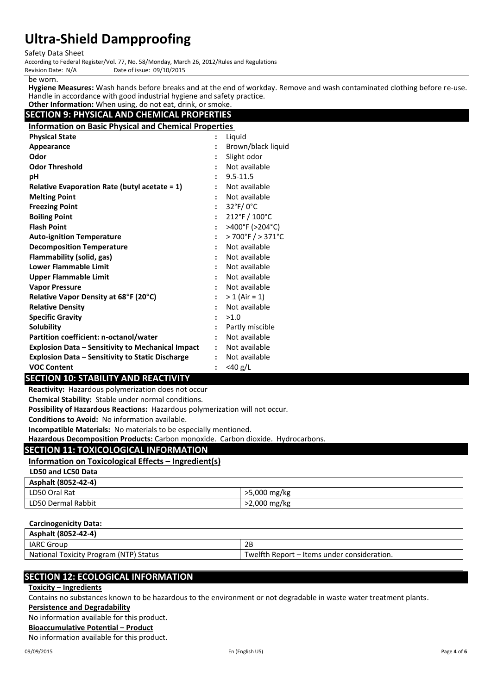Safety Data Sheet

According to Federal Register/Vol. 77, No. 58/Monday, March 26, 2012/Rules and Regulations Date of issue: 09/10/2015

be worn.

**Hygiene Measures:** Wash hands before breaks and at the end of workday. Remove and wash contaminated clothing before re-use. Handle in accordance with good industrial hygiene and safety practice.

#### **Other Information:** When using, do not eat, drink, or smoke. **SECTION 9: PHYSICAL AND CHEMICAL PROPERTIES**

**Information on Basic Physical and Chemical Properties**

| <b>Physical State</b>                                    | $\ddot{\phantom{a}}$ | Liquid                                  |
|----------------------------------------------------------|----------------------|-----------------------------------------|
| Appearance                                               |                      | Brown/black liquid                      |
| Odor                                                     |                      | Slight odor                             |
| <b>Odor Threshold</b>                                    |                      | Not available                           |
| рH                                                       |                      | $9.5 - 11.5$                            |
| <b>Relative Evaporation Rate (butyl acetate = 1)</b>     |                      | Not available                           |
| <b>Melting Point</b>                                     |                      | Not available                           |
| <b>Freezing Point</b>                                    |                      | $32^{\circ}$ F/0 $^{\circ}$ C           |
| <b>Boiling Point</b>                                     | $\ddot{\phantom{a}}$ | $212^{\circ}$ F / $100^{\circ}$ C       |
| <b>Flash Point</b>                                       | $\ddot{\phantom{a}}$ | >400°F (>204°C)                         |
| <b>Auto-ignition Temperature</b>                         |                      | $>700^{\circ}$ F $/$ > 371 $^{\circ}$ C |
| <b>Decomposition Temperature</b>                         |                      | Not available                           |
| Flammability (solid, gas)                                |                      | Not available                           |
| <b>Lower Flammable Limit</b>                             |                      | Not available                           |
| Upper Flammable Limit                                    |                      | Not available                           |
| <b>Vapor Pressure</b>                                    | $\ddot{\phantom{a}}$ | Not available                           |
| Relative Vapor Density at 68°F (20°C)                    | $\ddot{\phantom{a}}$ | $> 1$ (Air = 1)                         |
| <b>Relative Density</b>                                  | $\ddot{\phantom{a}}$ | Not available                           |
| <b>Specific Gravity</b>                                  | $\ddot{\cdot}$       | >1.0                                    |
| <b>Solubility</b>                                        |                      | Partly miscible                         |
| Partition coefficient: n-octanol/water                   |                      | Not available                           |
| <b>Explosion Data - Sensitivity to Mechanical Impact</b> |                      | Not available                           |
| <b>Explosion Data - Sensitivity to Static Discharge</b>  |                      | Not available                           |
| <b>VOC Content</b>                                       |                      | $<$ 40 g/L                              |

## **SECTION 10: STABILITY AND REACTIVITY**

**Reactivity:** Hazardous polymerization does not occur

**Chemical Stability:** Stable under normal conditions.

**Possibility of Hazardous Reactions:** Hazardous polymerization will not occur.

**Conditions to Avoid:** No information available.

**Incompatible Materials:** No materials to be especially mentioned.

**Hazardous Decomposition Products:** Carbon monoxide. Carbon dioxide. Hydrocarbons.

## **SECTION 11: TOXICOLOGICAL INFORMATION**

#### **Information on Toxicological Effects – Ingredient(s)**

#### **LD50 and LC50 Data**

| Asphalt (8052-42-4) |              |
|---------------------|--------------|
| LD50 Oral Rat       | >5,000 mg/kg |
| LD50 Dermal Rabbit  | >2,000 mg/kg |

## **Carcinogenicity Data:**

| Asphalt (8052-42-4)                    |                                             |
|----------------------------------------|---------------------------------------------|
| <b>IARC Group</b>                      | 2Β                                          |
| National Toxicity Program (NTP) Status | Twelfth Report – Items under consideration. |

## **SECTION 12: ECOLOGICAL INFORMATION**

**Toxicity – Ingredients**

Contains no substances known to be hazardous to the environment or not degradable in waste water treatment plants.

### **Persistence and Degradability**

No information available for this product.

**Bioaccumulative Potential – Product**

No information available for this product.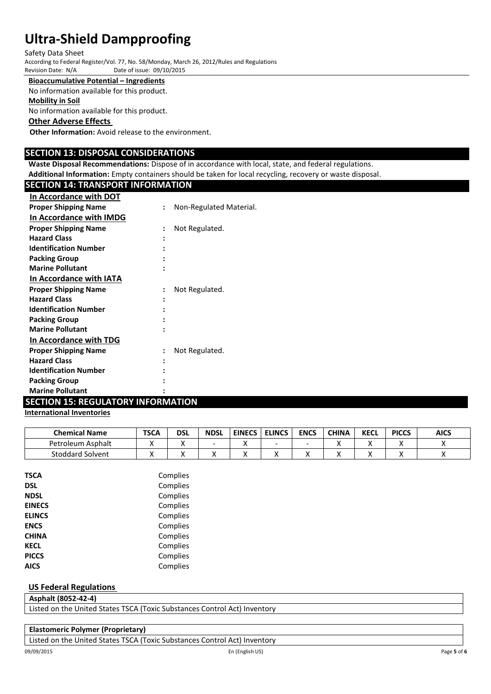Safety Data Sheet

According to Federal Register/Vol. 77, No. 58/Monday, March 26, 2012/Rules and Regulations Date of issue: 09/10/2015

#### **Bioaccumulative Potential – Ingredients**

No information available for this product.

#### **Mobility in Soil**

No information available for this product.

#### **Other Adverse Effects**

**Other Information:** Avoid release to the environment.

#### **SECTION 13: DISPOSAL CONSIDERATIONS**

**Waste Disposal Recommendations:** Dispose of in accordance with local, state, and federal regulations. **Additional Information:** Empty containers should be taken for local recycling, recovery or waste disposal.

#### **SECTION 14: TRANSPORT INFORMATION**

| In Accordance with DOT         |                      |                         |
|--------------------------------|----------------------|-------------------------|
| <b>Proper Shipping Name</b>    | $\ddot{\phantom{a}}$ | Non-Regulated Material. |
| In Accordance with IMDG        |                      |                         |
| <b>Proper Shipping Name</b>    |                      | Not Regulated.          |
| <b>Hazard Class</b>            |                      |                         |
| <b>Identification Number</b>   |                      |                         |
| <b>Packing Group</b>           |                      |                         |
| <b>Marine Pollutant</b>        |                      |                         |
| <b>In Accordance with IATA</b> |                      |                         |
| <b>Proper Shipping Name</b>    |                      | Not Regulated.          |
| <b>Hazard Class</b>            |                      |                         |
| <b>Identification Number</b>   |                      |                         |
| <b>Packing Group</b>           |                      |                         |
| <b>Marine Pollutant</b>        |                      |                         |
| <b>In Accordance with TDG</b>  |                      |                         |
| <b>Proper Shipping Name</b>    |                      | Not Regulated.          |
| <b>Hazard Class</b>            |                      |                         |
| <b>Identification Number</b>   |                      |                         |
| <b>Packing Group</b>           |                      |                         |
| <b>Marine Pollutant</b>        |                      |                         |

## **SECTION 15: REGULATORY INFORMATION**

### **International Inventories**

| <b>Chemical Name</b>    | <b>TSCA</b> | dsl | <b>NDSL</b> | <b>EINECS</b> | <b>ELINCS</b> | <b>ENCS</b> | <b>CHINA</b> | <b>KECL</b> | <b>PICCS</b> | <b>AICS</b> |
|-------------------------|-------------|-----|-------------|---------------|---------------|-------------|--------------|-------------|--------------|-------------|
| Petroleum Asphalt       |             | ↗   | -           |               | -             | -           |              |             | 73           |             |
| <b>Stoddard Solvent</b> | ,,          | ↗   | $\lambda$   |               |               | $\lambda$   |              |             |              |             |

| <b>TSCA</b>   | Complies |
|---------------|----------|
| <b>DSL</b>    | Complies |
| <b>NDSL</b>   | Complies |
| <b>EINECS</b> | Complies |
| <b>ELINCS</b> | Complies |
| <b>ENCS</b>   | Complies |
| <b>CHINA</b>  | Complies |
| <b>KECL</b>   | Complies |
| <b>PICCS</b>  | Complies |
| <b>AICS</b>   | Complies |

#### **US Federal Regulations**

**Asphalt (8052-42-4)**

Listed on the United States TSCA (Toxic Substances Control Act) Inventory

| <b>Elastomeric Polymer (Proprietary)</b> |  |
|------------------------------------------|--|
|------------------------------------------|--|

Listed on the United States TSCA (Toxic Substances Control Act) Inventory